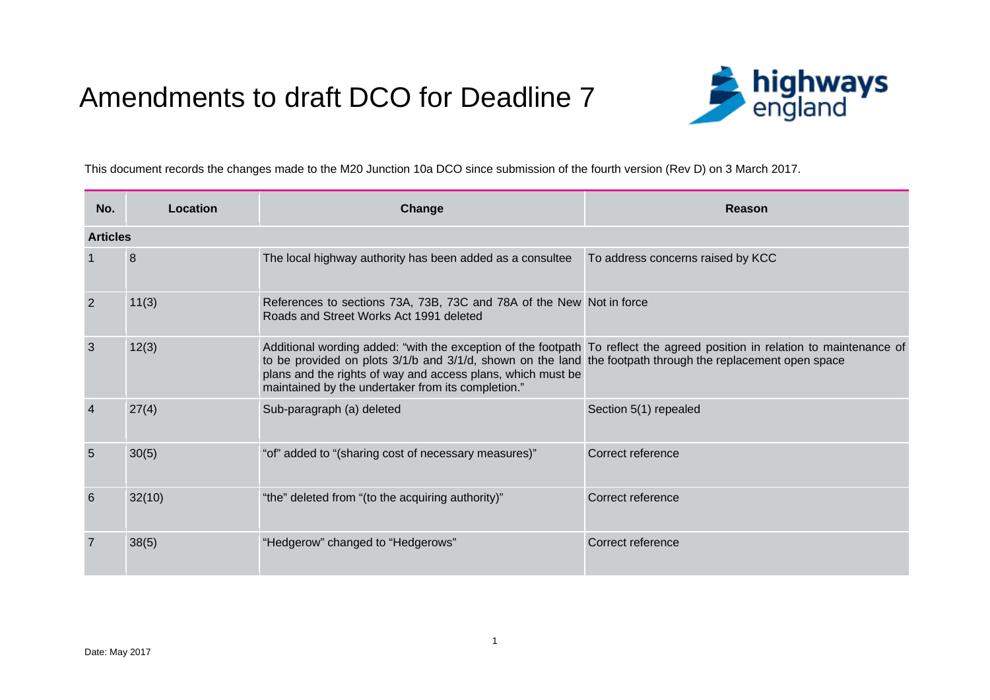## Amendments to draft DCO for Deadline 7



This document records the changes made to the M20 Junction 10a DCO since submission of the fourth version (Rev D) on 3 March 2017.

| No.             | Location        | Change                                                                                                                                                                                                                                                                                                                                                        | Reason                            |  |
|-----------------|-----------------|---------------------------------------------------------------------------------------------------------------------------------------------------------------------------------------------------------------------------------------------------------------------------------------------------------------------------------------------------------------|-----------------------------------|--|
|                 | <b>Articles</b> |                                                                                                                                                                                                                                                                                                                                                               |                                   |  |
|                 | 8               | The local highway authority has been added as a consultee                                                                                                                                                                                                                                                                                                     | To address concerns raised by KCC |  |
| $\overline{2}$  | 11(3)           | References to sections 73A, 73B, 73C and 78A of the New Not in force<br>Roads and Street Works Act 1991 deleted                                                                                                                                                                                                                                               |                                   |  |
| $\mathbf{3}$    | 12(3)           | Additional wording added: "with the exception of the footpath To reflect the agreed position in relation to maintenance of<br>to be provided on plots 3/1/b and 3/1/d, shown on the land the footpath through the replacement open space<br>plans and the rights of way and access plans, which must be<br>maintained by the undertaker from its completion." |                                   |  |
| $\overline{4}$  | 27(4)           | Sub-paragraph (a) deleted                                                                                                                                                                                                                                                                                                                                     | Section 5(1) repealed             |  |
| $5\overline{5}$ | 30(5)           | "of" added to "(sharing cost of necessary measures)"                                                                                                                                                                                                                                                                                                          | Correct reference                 |  |
| $6\phantom{1}6$ | 32(10)          | "the" deleted from "(to the acquiring authority)"                                                                                                                                                                                                                                                                                                             | Correct reference                 |  |
| $\overline{7}$  | 38(5)           | "Hedgerow" changed to "Hedgerows"                                                                                                                                                                                                                                                                                                                             | Correct reference                 |  |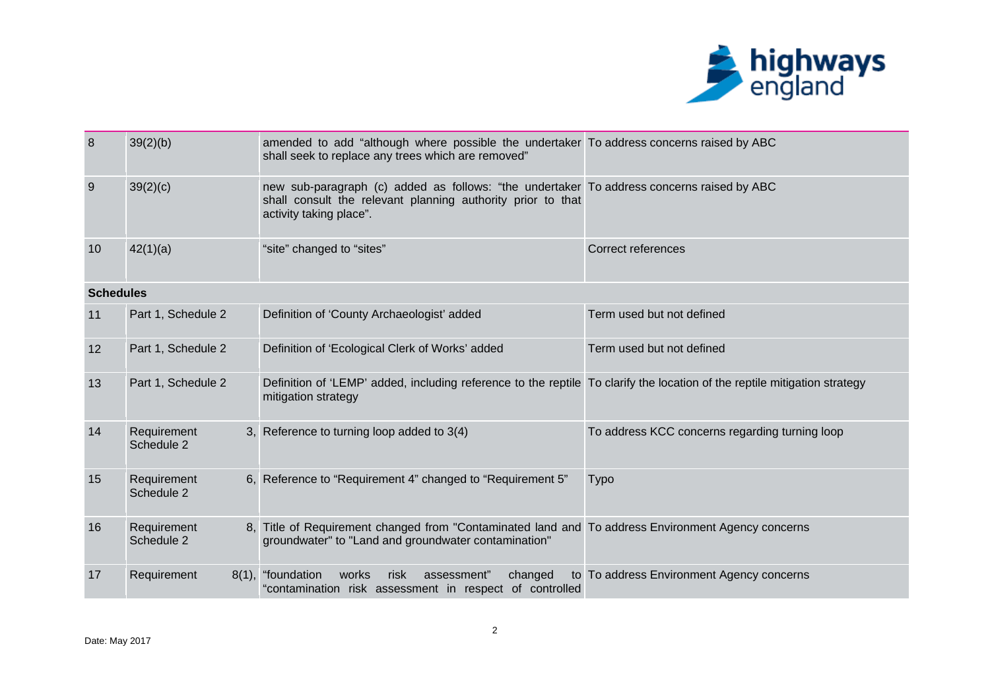

| 8                | 39(2)(b)                  | amended to add "although where possible the undertaker To address concerns raised by ABC<br>shall seek to replace any trees which are removed"                                      |                                                |
|------------------|---------------------------|-------------------------------------------------------------------------------------------------------------------------------------------------------------------------------------|------------------------------------------------|
| 9                | 39(2)(c)                  | new sub-paragraph (c) added as follows: "the undertaker To address concerns raised by ABC<br>shall consult the relevant planning authority prior to that<br>activity taking place". |                                                |
| 10               | 42(1)(a)                  | "site" changed to "sites"                                                                                                                                                           | <b>Correct references</b>                      |
| <b>Schedules</b> |                           |                                                                                                                                                                                     |                                                |
| 11               | Part 1, Schedule 2        | Definition of 'County Archaeologist' added                                                                                                                                          | Term used but not defined                      |
| 12               | Part 1, Schedule 2        | Definition of 'Ecological Clerk of Works' added                                                                                                                                     | Term used but not defined                      |
| 13               | Part 1, Schedule 2        | Definition of 'LEMP' added, including reference to the reptile To clarify the location of the reptile mitigation strategy<br>mitigation strategy                                    |                                                |
| 14               | Requirement<br>Schedule 2 | 3, Reference to turning loop added to 3(4)                                                                                                                                          | To address KCC concerns regarding turning loop |
| 15               | Requirement<br>Schedule 2 | 6, Reference to "Requirement 4" changed to "Requirement 5"                                                                                                                          | <b>Typo</b>                                    |
| 16               | Requirement<br>Schedule 2 | 8, Title of Requirement changed from "Contaminated land and To address Environment Agency concerns<br>groundwater" to "Land and groundwater contamination"                          |                                                |
| 17               | Requirement               | 8(1), "foundation<br>works<br>risk<br>changed<br>assessment"<br>"contamination risk assessment in respect of controlled                                                             | to To address Environment Agency concerns      |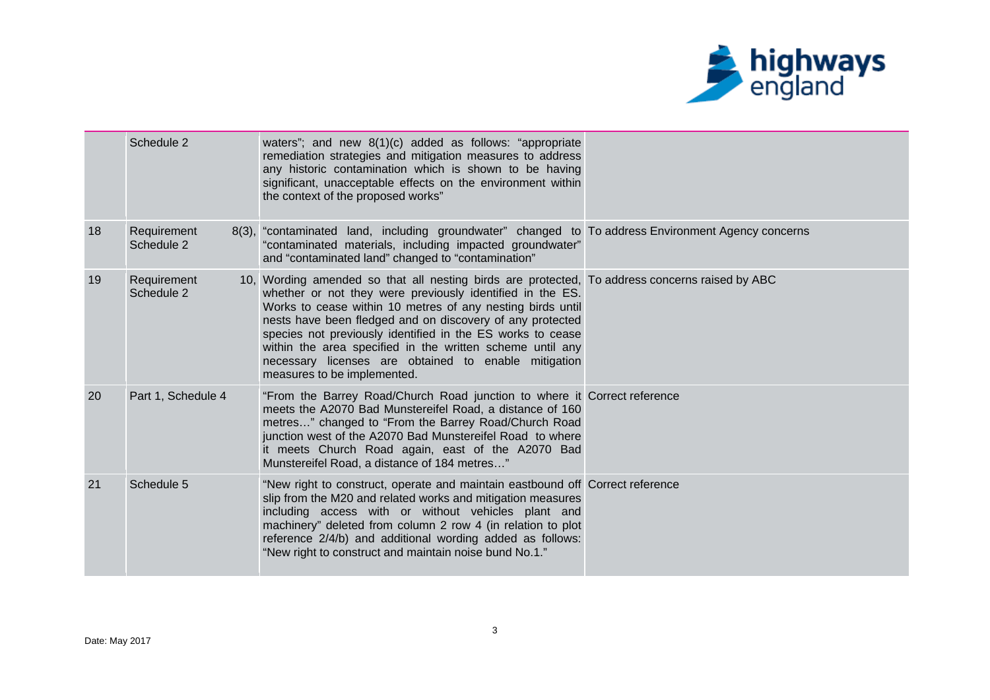

|    | Schedule 2                | waters"; and new $8(1)(c)$ added as follows: "appropriate<br>remediation strategies and mitigation measures to address<br>any historic contamination which is shown to be having<br>significant, unacceptable effects on the environment within<br>the context of the proposed works"                                                                                                                                                                                                                    |  |
|----|---------------------------|----------------------------------------------------------------------------------------------------------------------------------------------------------------------------------------------------------------------------------------------------------------------------------------------------------------------------------------------------------------------------------------------------------------------------------------------------------------------------------------------------------|--|
| 18 | Requirement<br>Schedule 2 | 8(3), "contaminated land, including groundwater" changed to To address Environment Agency concerns<br>"contaminated materials, including impacted groundwater"<br>and "contaminated land" changed to "contamination"                                                                                                                                                                                                                                                                                     |  |
| 19 | Requirement<br>Schedule 2 | 10, Wording amended so that all nesting birds are protected, To address concerns raised by ABC<br>whether or not they were previously identified in the ES.<br>Works to cease within 10 metres of any nesting birds until<br>nests have been fledged and on discovery of any protected<br>species not previously identified in the ES works to cease<br>within the area specified in the written scheme until any<br>necessary licenses are obtained to enable mitigation<br>measures to be implemented. |  |
| 20 | Part 1, Schedule 4        | "From the Barrey Road/Church Road junction to where it Correct reference<br>meets the A2070 Bad Munstereifel Road, a distance of 160<br>metres" changed to "From the Barrey Road/Church Road<br>junction west of the A2070 Bad Munstereifel Road to where<br>it meets Church Road again, east of the A2070 Bad<br>Munstereifel Road, a distance of 184 metres"                                                                                                                                           |  |
| 21 | Schedule 5                | "New right to construct, operate and maintain eastbound off Correct reference<br>slip from the M20 and related works and mitigation measures<br>including access with or without vehicles plant and<br>machinery" deleted from column 2 row 4 (in relation to plot<br>reference 2/4/b) and additional wording added as follows:<br>"New right to construct and maintain noise bund No.1."                                                                                                                |  |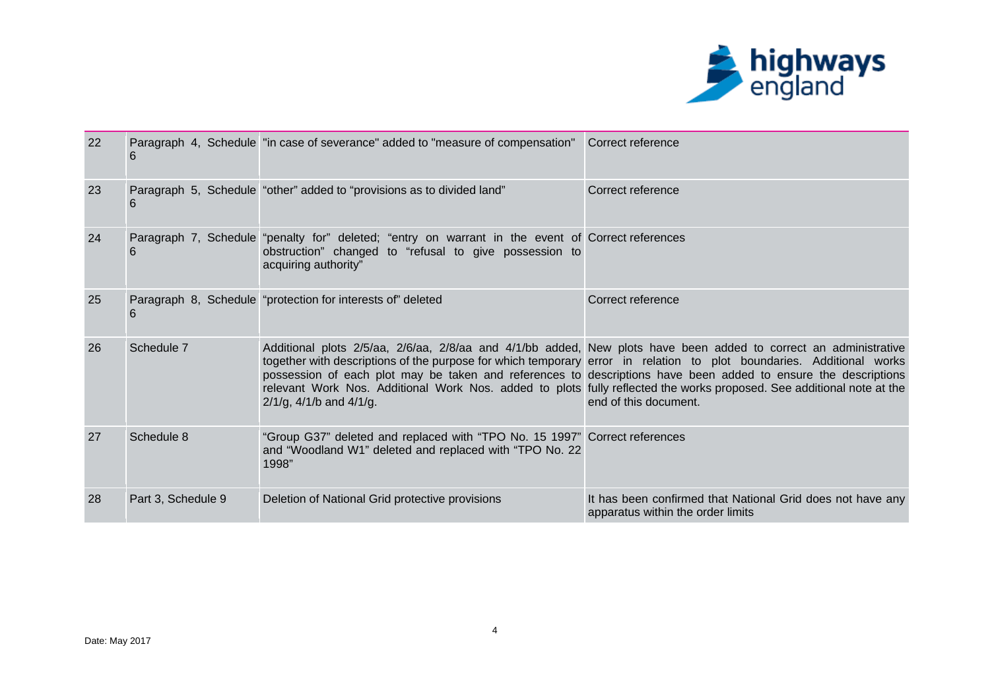

| 22 |                    | Paragraph 4, Schedule "in case of severance" added to "measure of compensation" Correct reference                                                                                   |                                                                                                                                                                                                                                                                                                                                                                                                                                                                                                              |
|----|--------------------|-------------------------------------------------------------------------------------------------------------------------------------------------------------------------------------|--------------------------------------------------------------------------------------------------------------------------------------------------------------------------------------------------------------------------------------------------------------------------------------------------------------------------------------------------------------------------------------------------------------------------------------------------------------------------------------------------------------|
|    | 6                  |                                                                                                                                                                                     |                                                                                                                                                                                                                                                                                                                                                                                                                                                                                                              |
| 23 | 6                  | Paragraph 5, Schedule "other" added to "provisions as to divided land"                                                                                                              | Correct reference                                                                                                                                                                                                                                                                                                                                                                                                                                                                                            |
| 24 | 6                  | Paragraph 7, Schedule "penalty for" deleted; "entry on warrant in the event of Correct references<br>obstruction" changed to "refusal to give possession to<br>acquiring authority" |                                                                                                                                                                                                                                                                                                                                                                                                                                                                                                              |
| 25 | 6                  | Paragraph 8, Schedule "protection for interests of" deleted                                                                                                                         | Correct reference                                                                                                                                                                                                                                                                                                                                                                                                                                                                                            |
| 26 | Schedule 7         | $2/1/g$ , 4/1/b and 4/1/g.                                                                                                                                                          | Additional plots 2/5/aa, 2/6/aa, 2/8/aa and 4/1/bb added, New plots have been added to correct an administrative<br>together with descriptions of the purpose for which temporary error in relation to plot boundaries. Additional works<br>possession of each plot may be taken and references to descriptions have been added to ensure the descriptions<br>relevant Work Nos. Additional Work Nos. added to plots fully reflected the works proposed. See additional note at the<br>end of this document. |
| 27 | Schedule 8         | "Group G37" deleted and replaced with "TPO No. 15 1997" Correct references<br>and "Woodland W1" deleted and replaced with "TPO No. 22<br>1998"                                      |                                                                                                                                                                                                                                                                                                                                                                                                                                                                                                              |
| 28 | Part 3, Schedule 9 | Deletion of National Grid protective provisions                                                                                                                                     | It has been confirmed that National Grid does not have any<br>apparatus within the order limits                                                                                                                                                                                                                                                                                                                                                                                                              |